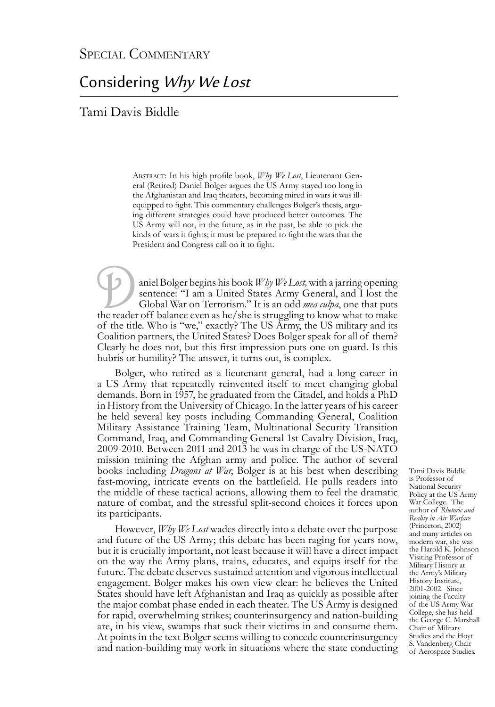## Considering Why We Lost

Tami Davis Biddle

Abstract: In his high profile book, *Why We Lost*, Lieutenant General (Retired) Daniel Bolger argues the US Army stayed too long in the Afghanistan and Iraq theaters, becoming mired in wars it was illequipped to fight. This commentary challenges Bolger's thesis, arguing different strategies could have produced better outcomes. The US Army will not, in the future, as in the past, be able to pick the kinds of wars it fights; it must be prepared to fight the wars that the President and Congress call on it to fight.

aniel Bolger begins his book *Why We Lost*, with a jarring opening sentence: "I am a United States Army General, and I lost the Global War on Terrorism." It is an odd *mea culpa*, one that puts the reader off balance even sentence: "I am a United States Army General, and I lost the Global War on Terrorism." It is an odd *mea culpa*, one that puts of the title. Who is "we," exactly? The US Army, the US military and its Coalition partners, the United States? Does Bolger speak for all of them? Clearly he does not, but this first impression puts one on guard. Is this hubris or humility? The answer, it turns out, is complex.

Bolger, who retired as a lieutenant general, had a long career in a US Army that repeatedly reinvented itself to meet changing global demands. Born in 1957, he graduated from the Citadel, and holds a PhD in History from the University of Chicago. In the latter years of his career he held several key posts including Commanding General, Coalition Military Assistance Training Team, Multinational Security Transition Command, Iraq, and Commanding General 1st Cavalry Division, Iraq, 2009-2010. Between 2011 and 2013 he was in charge of the US-NATO mission training the Afghan army and police. The author of several books including *Dragons at War*, Bolger is at his best when describing fast-moving, intricate events on the battlefield. He pulls readers into the middle of these tactical actions, allowing them to feel the dramatic nature of combat, and the stressful split-second choices it forces upon its participants.

However, *Why We Lost* wades directly into a debate over the purpose and future of the US Army; this debate has been raging for years now, but it is crucially important, not least because it will have a direct impact on the way the Army plans, trains, educates, and equips itself for the future. The debate deserves sustained attention and vigorous intellectual engagement. Bolger makes his own view clear: he believes the United States should have left Afghanistan and Iraq as quickly as possible after the major combat phase ended in each theater. The US Army is designed for rapid, overwhelming strikes; counterinsurgency and nation-building are, in his view, swamps that suck their victims in and consume them. At points in the text Bolger seems willing to concede counterinsurgency and nation-building may work in situations where the state conducting

Tami Davis Biddle is Professor of National Security Policy at the US Army War College. The author of *Rhetoric and Reality in Air Warfare* (Princeton, 2002) and many articles on modern war, she was the Harold K. Johnson Visiting Professor of Military History at the Army's Military History Institute, 2001-2002. Since joining the Faculty of the US Army War College, she has held the George C. Marshall Chair of Military Studies and the Hoyt S. Vandenberg Chair of Aerospace Studies.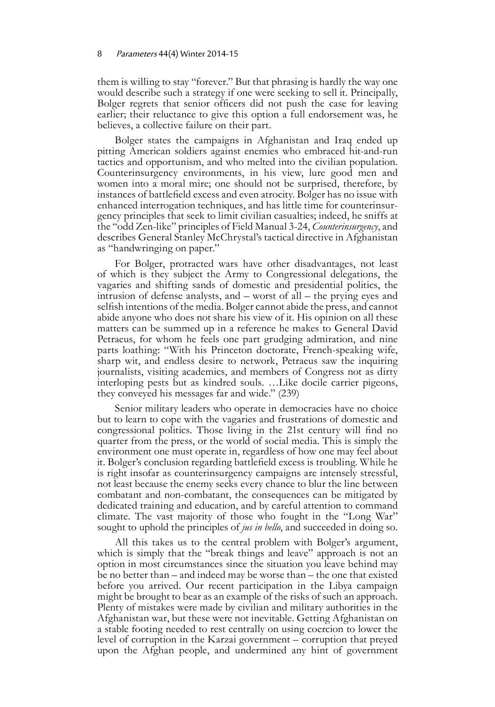## 8 Parameters 44(4) Winter 2014-15

them is willing to stay "forever." But that phrasing is hardly the way one would describe such a strategy if one were seeking to sell it. Principally, Bolger regrets that senior officers did not push the case for leaving earlier; their reluctance to give this option a full endorsement was, he believes, a collective failure on their part.

Bolger states the campaigns in Afghanistan and Iraq ended up pitting American soldiers against enemies who embraced hit-and-run tactics and opportunism, and who melted into the civilian population. Counterinsurgency environments, in his view, lure good men and women into a moral mire; one should not be surprised, therefore, by instances of battlefield excess and even atrocity. Bolger has no issue with enhanced interrogation techniques, and has little time for counterinsurgency principles that seek to limit civilian casualties; indeed, he sniffs at the "odd Zen-like" principles of Field Manual 3-24, *Counterinsurgency*, and describes General Stanley McChrystal's tactical directive in Afghanistan as "handwringing on paper."

For Bolger, protracted wars have other disadvantages, not least of which is they subject the Army to Congressional delegations, the vagaries and shifting sands of domestic and presidential politics, the intrusion of defense analysts, and – worst of all – the prying eyes and selfish intentions of the media. Bolger cannot abide the press, and cannot abide anyone who does not share his view of it. His opinion on all these matters can be summed up in a reference he makes to General David Petraeus, for whom he feels one part grudging admiration, and nine parts loathing: "With his Princeton doctorate, French-speaking wife, sharp wit, and endless desire to network, Petraeus saw the inquiring journalists, visiting academics, and members of Congress not as dirty interloping pests but as kindred souls. …Like docile carrier pigeons, they conveyed his messages far and wide." (239)

Senior military leaders who operate in democracies have no choice but to learn to cope with the vagaries and frustrations of domestic and congressional politics. Those living in the 21st century will find no quarter from the press, or the world of social media. This is simply the environment one must operate in, regardless of how one may feel about it. Bolger's conclusion regarding battlefield excess is troubling. While he is right insofar as counterinsurgency campaigns are intensely stressful, not least because the enemy seeks every chance to blur the line between combatant and non-combatant, the consequences can be mitigated by dedicated training and education, and by careful attention to command climate. The vast majority of those who fought in the "Long War" sought to uphold the principles of *jus in bello*, and succeeded in doing so.

All this takes us to the central problem with Bolger's argument, which is simply that the "break things and leave" approach is not an option in most circumstances since the situation you leave behind may be no better than – and indeed may be worse than – the one that existed before you arrived. Our recent participation in the Libya campaign might be brought to bear as an example of the risks of such an approach. Plenty of mistakes were made by civilian and military authorities in the Afghanistan war, but these were not inevitable. Getting Afghanistan on a stable footing needed to rest centrally on using coercion to lower the level of corruption in the Karzai government – corruption that preyed upon the Afghan people, and undermined any hint of government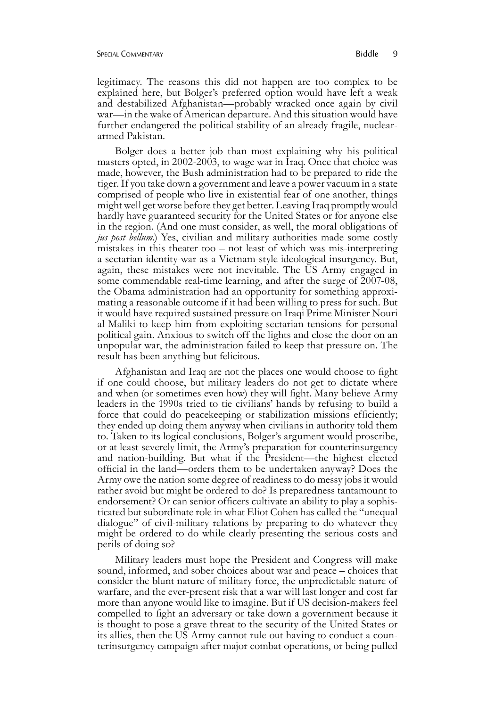legitimacy. The reasons this did not happen are too complex to be explained here, but Bolger's preferred option would have left a weak and destabilized Afghanistan—probably wracked once again by civil war—in the wake of American departure. And this situation would have further endangered the political stability of an already fragile, nucleararmed Pakistan.

Bolger does a better job than most explaining why his political masters opted, in 2002-2003, to wage war in Iraq. Once that choice was made, however, the Bush administration had to be prepared to ride the tiger. If you take down a government and leave a power vacuum in a state comprised of people who live in existential fear of one another, things might well get worse before they get better. Leaving Iraq promptly would hardly have guaranteed security for the United States or for anyone else in the region. (And one must consider, as well, the moral obligations of *jus post bellum*.) Yes, civilian and military authorities made some costly mistakes in this theater too – not least of which was mis-interpreting a sectarian identity-war as a Vietnam-style ideological insurgency. But, again, these mistakes were not inevitable. The US Army engaged in some commendable real-time learning, and after the surge of 2007-08, the Obama administration had an opportunity for something approximating a reasonable outcome if it had been willing to press for such. But it would have required sustained pressure on Iraqi Prime Minister Nouri al-Maliki to keep him from exploiting sectarian tensions for personal political gain. Anxious to switch off the lights and close the door on an unpopular war, the administration failed to keep that pressure on. The result has been anything but felicitous.

Afghanistan and Iraq are not the places one would choose to fight if one could choose, but military leaders do not get to dictate where and when (or sometimes even how) they will fight. Many believe Army leaders in the 1990s tried to tie civilians' hands by refusing to build a force that could do peacekeeping or stabilization missions efficiently; they ended up doing them anyway when civilians in authority told them to. Taken to its logical conclusions, Bolger's argument would proscribe, or at least severely limit, the Army's preparation for counterinsurgency and nation-building. But what if the President—the highest elected official in the land—orders them to be undertaken anyway? Does the Army owe the nation some degree of readiness to do messy jobs it would rather avoid but might be ordered to do? Is preparedness tantamount to endorsement? Or can senior officers cultivate an ability to play a sophisticated but subordinate role in what Eliot Cohen has called the "unequal dialogue" of civil-military relations by preparing to do whatever they might be ordered to do while clearly presenting the serious costs and perils of doing so?

Military leaders must hope the President and Congress will make sound, informed, and sober choices about war and peace – choices that consider the blunt nature of military force, the unpredictable nature of warfare, and the ever-present risk that a war will last longer and cost far more than anyone would like to imagine. But if US decision-makers feel compelled to fight an adversary or take down a government because it is thought to pose a grave threat to the security of the United States or its allies, then the US Army cannot rule out having to conduct a coun- terinsurgency campaign after major combat operations, or being pulled